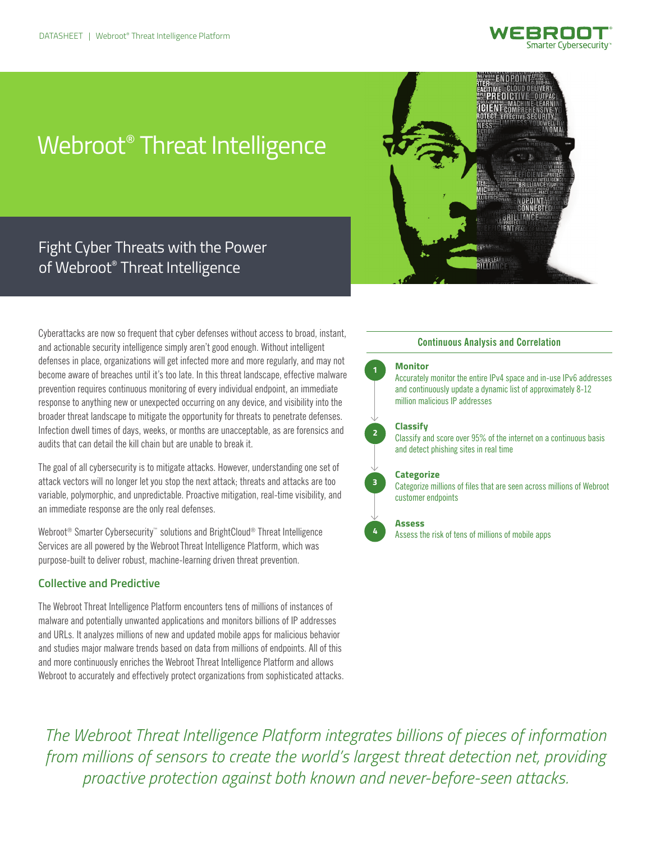

# Webroot® Threat Intelligence



# Fight Cyber Threats with the Power of Webroot® Threat Intelligence

Cyberattacks are now so frequent that cyber defenses without access to broad, instant, and actionable security intelligence simply aren't good enough. Without intelligent defenses in place, organizations will get infected more and more regularly, and may not become aware of breaches until it's too late. In this threat landscape, effective malware prevention requires continuous monitoring of every individual endpoint, an immediate response to anything new or unexpected occurring on any device, and visibility into the broader threat landscape to mitigate the opportunity for threats to penetrate defenses. Infection dwell times of days, weeks, or months are unacceptable, as are forensics and audits that can detail the kill chain but are unable to break it.

The goal of all cybersecurity is to mitigate attacks. However, understanding one set of attack vectors will no longer let you stop the next attack; threats and attacks are too variable, polymorphic, and unpredictable. Proactive mitigation, real-time visibility, and an immediate response are the only real defenses.

Webroot<sup>®</sup> Smarter Cybersecurity<sup>™</sup> solutions and BrightCloud<sup>®</sup> Threat Intelligence Services are all powered by the Webroot Threat Intelligence Platform, which was purpose-built to deliver robust, machine-learning driven threat prevention.

# **Collective and Predictive**

The Webroot Threat Intelligence Platform encounters tens of millions of instances of malware and potentially unwanted applications and monitors billions of IP addresses and URLs. It analyzes millions of new and updated mobile apps for malicious behavior and studies major malware trends based on data from millions of endpoints. All of this and more continuously enriches the Webroot Threat Intelligence Platform and allows Webroot to accurately and effectively protect organizations from sophisticated attacks.

# **Continuous Analysis and Correlation**

#### **Monitor**

**1**

**2**

**3**

**4**

Accurately monitor the entire IPv4 space and in-use IPv6 addresses and continuously update a dynamic list of approximately 8-12 million malicious IP addresses

#### **Classify**

Classify and score over 95% of the internet on a continuous basis and detect phishing sites in real time

#### **Categorize**

Categorize millions of files that are seen across millions of Webroot customer endpoints

#### **Assess**

Assess the risk of tens of millions of mobile apps

*The Webroot Threat Intelligence Platform integrates billions of pieces of information from millions of sensors to create the world's largest threat detection net, providing proactive protection against both known and never-before-seen attacks.*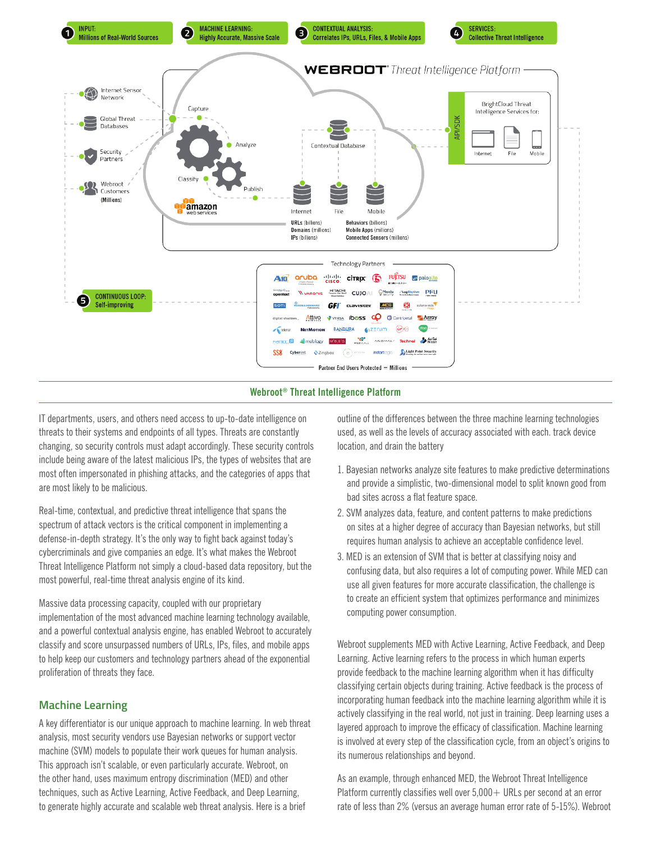

#### **Webroot® Threat Intelligence Platform**

IT departments, users, and others need access to up-to-date intelligence on threats to their systems and endpoints of all types. Threats are constantly changing, so security controls must adapt accordingly. These security controls include being aware of the latest malicious IPs, the types of websites that are most often impersonated in phishing attacks, and the categories of apps that are most likely to be malicious.

Real-time, contextual, and predictive threat intelligence that spans the spectrum of attack vectors is the critical component in implementing a defense-in-depth strategy. It's the only way to fight back against today's cybercriminals and give companies an edge. It's what makes the Webroot Threat Intelligence Platform not simply a cloud-based data repository, but the most powerful, real-time threat analysis engine of its kind.

Massive data processing capacity, coupled with our proprietary implementation of the most advanced machine learning technology available, and a powerful contextual analysis engine, has enabled Webroot to accurately classify and score unsurpassed numbers of URLs, IPs, files, and mobile apps to help keep our customers and technology partners ahead of the exponential proliferation of threats they face.

# **Machine Learning**

A key differentiator is our unique approach to machine learning. In web threat analysis, most security vendors use Bayesian networks or support vector machine (SVM) models to populate their work queues for human analysis. This approach isn't scalable, or even particularly accurate. Webroot, on the other hand, uses maximum entropy discrimination (MED) and other techniques, such as Active Learning, Active Feedback, and Deep Learning, to generate highly accurate and scalable web threat analysis. Here is a brief

outline of the differences between the three machine learning technologies used, as well as the levels of accuracy associated with each. track device location, and drain the battery

- 1. Bayesian networks analyze site features to make predictive determinations and provide a simplistic, two-dimensional model to split known good from bad sites across a flat feature space.
- 2. SVM analyzes data, feature, and content patterns to make predictions on sites at a higher degree of accuracy than Bayesian networks, but still requires human analysis to achieve an acceptable confidence level.
- 3. MED is an extension of SVM that is better at classifying noisy and confusing data, but also requires a lot of computing power. While MED can use all given features for more accurate classification, the challenge is to create an efficient system that optimizes performance and minimizes computing power consumption.

Webroot supplements MED with Active Learning, Active Feedback, and Deep Learning. Active learning refers to the process in which human experts provide feedback to the machine learning algorithm when it has difficulty classifying certain objects during training. Active feedback is the process of incorporating human feedback into the machine learning algorithm while it is actively classifying in the real world, not just in training. Deep learning uses a layered approach to improve the efficacy of classification. Machine learning is involved at every step of the classification cycle, from an object's origins to its numerous relationships and beyond.

As an example, through enhanced MED, the Webroot Threat Intelligence Platform currently classifies well over  $5,000+$  URLs per second at an error rate of less than 2% (versus an average human error rate of 5-15%). Webroot